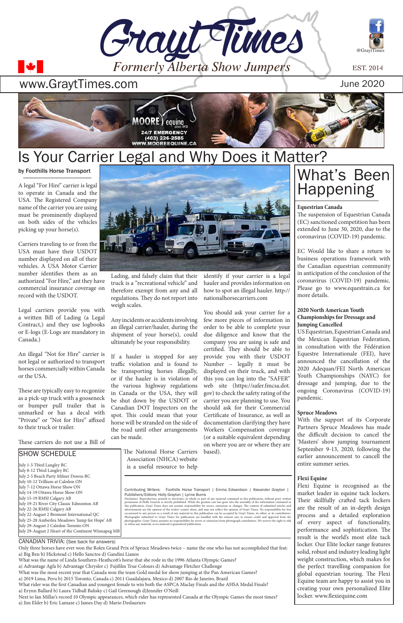







by Foothills Horse Transport

A legal "For Hire" carrier is legal to operate in Canada and the USA. The Registered Company name of the carrier you are using must be prominently displayed on both sides of the vehicles picking up your horse(s).

Carriers traveling to or from the USA must have their USDOT number displayed on all of their vehicles. A USA Motor Carrier number identifies them as an authorized "For Hire," ant they have commercial insurance coverage on record with the USDOT.

Legal carriers provide you with a written Bill of Lading (a Legal Contract,) and they use logbooks or E-logs (E-Logs are mandatory in Canada.)

An illegal "Not for Hire" carrier is not legal or authorized to transport horses commercially within Canada or the USA.

These are typically easy to recgonize as a pick-up truck with a gooseneck or bumper pull trailer that is unmarked or has a decal with "Private" or "Not for Hire" affixed to their truck or trailer.

These carriers do not use a Bill of

Lading, and falsely claim that their truck is a "recreational vehicle" and therefore exempt from any and all regulations. They do not report into weigh scales.

Any incidents or accidents involving an illegal carrier/hauler, during the shipment of your horse(s), could ultimately be your responsibility.

If a hauler is stopped for any traffic violation and is found to be transporting horses illegally, or if the hauler is in violation of the various highway regulations in Canada or the USA, they will be shut down by the USDOT or Canadian DOT Inspectors on the spot. This could mean that your horse will be stranded on the side of the road until other arrangements can be made.

The National Horse Carriers

identify if your carrier is a legal hauler and provides information on how to spot an illegal hauler. http:// nationalhorsecarriers.com

You should ask your carrier for a few more pieces of information in order to be able to complete your due diligence and know that the company you are using is safe and certified. They should be able to provide you with their USDOT Number – legally it must be displayed on their truck, and with this you can log into the "SAFER" web site (https://safer.fmcsa.dot. gov) to check the safety rating of the carrier you are planning to use. You should ask for their Commercial Certificate of Insurance, as well as documentation clarifying they have Workers Compensation coverage (or a suitable equivalent depending on where you are or where they are based).

Only three horses have ever won the Rolex Grand Prix of Spruce Meadows twice – name the one who has not accomplished that feat: a) Big Ben b) Hickstead c) Hello Sanctos d) Gandini Lianos

What was the name of Linda Southern-Heathcott's horse that she rode in the 1996 Atlanta Olympic Games?

a) Advantage Agfa b) Advantage Chrysler c) Fujifilm True Colours d) Advantage Fletcher Challenge

What was the most recent year that Canada won the team Gold medal for show jumping at the Pan American Games?

a) 2019 Lima, Peru b) 2015 Toronto, Canada c) 2011 Guadalajara, Mexico d) 2007 Rio de Janeiro, Brazil

What rider was the first Canadian and youngest female to win both the ASPCA Maclay Finals and the AHSA Medal Finals? a) Erynn Ballard b) Laura Tidball Balisky c) Gail Greenough d)Jennifer O'Neill

Next to Ian Millar's record 10 Olympic appearances, which rider has represented Canada at the Olympic Games the most times? a) Jim Elder b) Eric Lamaze c) James Day d) Mario Deslauriers

SHOW SCHEDULE



# Is Your Carrier Legal and Why Does it Matter?

| July 1-5 Tbird Langley BC<br>July 8-12 Tbird Langley BC                                                                                                                                                                                                                                                                                                                                                                                              | Association (NHCA) website<br>is a useful resource to help                                                                                                                                                                                                                                                                                                                                                                                                                                                                                                                                                                                                                                                                                                                                                                                                                                                                                                                                                                                                                                                                                                                                                 | Cattler allocutive the two cattless the<br>entire summer series.                                                                                                                                                                                                                                                                              |
|------------------------------------------------------------------------------------------------------------------------------------------------------------------------------------------------------------------------------------------------------------------------------------------------------------------------------------------------------------------------------------------------------------------------------------------------------|------------------------------------------------------------------------------------------------------------------------------------------------------------------------------------------------------------------------------------------------------------------------------------------------------------------------------------------------------------------------------------------------------------------------------------------------------------------------------------------------------------------------------------------------------------------------------------------------------------------------------------------------------------------------------------------------------------------------------------------------------------------------------------------------------------------------------------------------------------------------------------------------------------------------------------------------------------------------------------------------------------------------------------------------------------------------------------------------------------------------------------------------------------------------------------------------------------|-----------------------------------------------------------------------------------------------------------------------------------------------------------------------------------------------------------------------------------------------------------------------------------------------------------------------------------------------|
| July 2-5 Beach Party Milner Downs BC<br>July 10-12 Trillium at Caledon ON<br>July 7-12 Ottawa Horse Show ON<br>July 14-19 Ottawa Horse Show ON<br>July 15-19 RMSJ Calgary AB<br>July 19-21 River City Classic Edmonton AB<br>July 22-26 RMSJ Calgary AB<br>July 22-August 2 Bromont International QC<br>July 25-28 Amberlea Meadows 'Jump for Hope' AB<br>July 29-August 2 Caledon Toronto ON<br>July 29-August 2 Heart of the Continent Winnapeg MB | Contributing Writers: Foothills Horse Transport   Emma Edwardson   Alexander Grayton  <br>Publishers/Editors: Holly Grayton   Lynne Burns<br>Disclaimer: Reproduction, printed or electronic, in whole or part of any material contained in this publication, without prior written<br>permission of Holly Grayton is strictly prohibited. While the greatest care has gone into the assembly of the information contained in<br>this publication, Grayt Times does not assume responsibility for errors, omissions or changes. The content of submitted articles and<br>advertisments are the opinion of the writer/ creator alone, and may not reflect the opinion of Grayt Times. No responsibility for loss<br>occasioned to any person as a result of any material in this publication can be accepted by Grayt Times, its editor or its contributors.<br>Photographs submitted to Grayt Times for publication are handled with the utmost care to ensure credit and approval from the<br>photographer; Grayt Times assumes no responsibility for errors or omissions from photograph contributors. We reserve the right to edit<br>or refuse any material, as no material is guaranteed publication. | <b>Flexi Equine</b><br>Flexi Equine is recognised as the<br>market leader in equine tack lockers.<br>Their skillfully crafted tack lockers<br>are the result of an in-depth design<br>process and a detailed exploration<br>of every aspect of functionality,<br>performance and sophistication. The<br>result is the world's most elite tack |
| <b>CANADIAN TRIVIA:</b> (See back for answers)                                                                                                                                                                                                                                                                                                                                                                                                       |                                                                                                                                                                                                                                                                                                                                                                                                                                                                                                                                                                                                                                                                                                                                                                                                                                                                                                                                                                                                                                                                                                                                                                                                            | 1. $1\ldots$ $\bigcap_{n=1}^{\infty}$ $\bigcap_{n=1}^{\infty}$ $\bigcap_{n=1}^{\infty}$ $\bigcap_{n=1}^{\infty}$ $\bigcap_{n=1}^{\infty}$ $\bigcap_{n=1}^{\infty}$ $\bigcap_{n=1}^{\infty}$                                                                                                                                                   |

## What's Been Happening

#### **Equestrian Canada**

The suspension of Equestrian Canada (EC) sanctioned competition has been extended to June 30, 2020, due to the coronavirus (COVID-19) pandemic.

EC Would like to share a return to business operations framework with the Canadian equestrian community in anticipation of the conclusion of the coronavirus (COVID-19) pandemic. Please go to www.equestrain.ca for more details.

#### **2020 North American Youth Championships for Dressage and Jumping Cancelled**

US Equestrian, Equestrian Canada and the Mexican Equestrian Federation, in consultation with the Fédération Equestre Internationale (FEI), have announced the cancellation of the 2020 Adequan/FEI North American Youth Championships (NAYC) for dressage and jumping, due to the ongoing Coronavirus (COVID-19) pandemic.

### **Spruce Meadows**

With the support of its Corporate Partners Spruce Meadows has made the difficult decision to cancel the 'Masters' show jumping tournament September 9-13, 2020, following the earlier announcement to cancell the

locker. Our Elite locker range features solid, robust and industry leading light weight construction, which makes for the perfect travelling companion for global equestrian touring. The Flexi Equine team are happy to assist you in creating your own personalized Elite locker. www.flexiequine.com

### www.GraytTimes.com